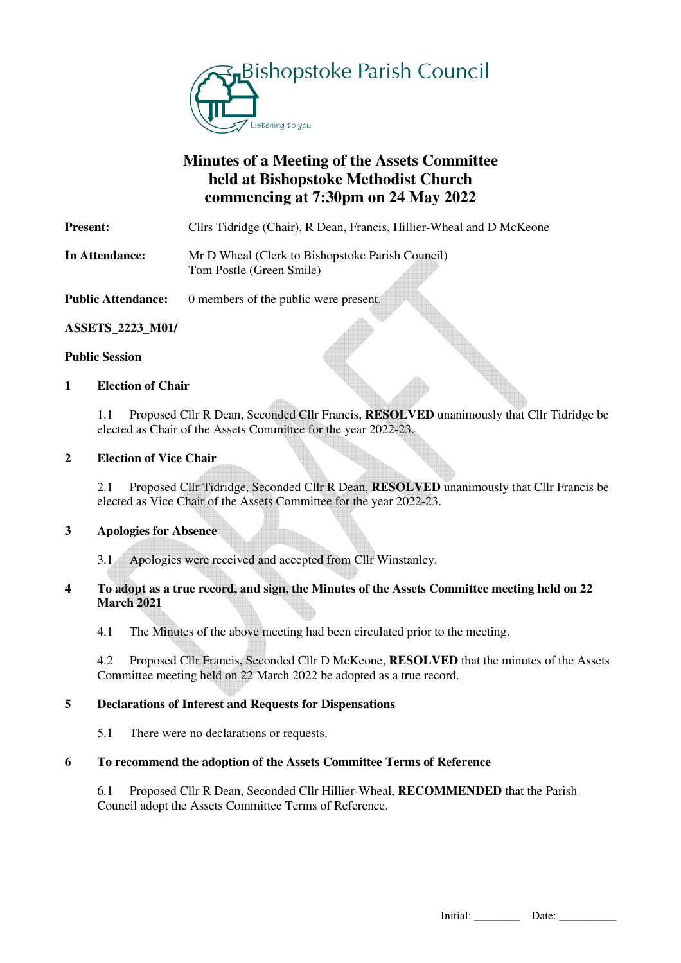

# **Minutes of a Meeting of the Assets Committee held at Bishopstoke Methodist Church commencing at 7:30pm on 24 May 2022**

**Present:** Cllrs Tidridge (Chair), R Dean, Francis, Hillier-Wheal and D McKeone

**In Attendance:** Mr D Wheal (Clerk to Bishopstoke Parish Council) Tom Postle (Green Smile)

**Public Attendance:** 0 members of the public were present.

## **ASSETS\_2223\_M01/**

### **Public Session**

## **1 Election of Chair**

1.1 Proposed Cllr R Dean, Seconded Cllr Francis, **RESOLVED** unanimously that Cllr Tidridge be elected as Chair of the Assets Committee for the year 2022-23.

### **2 Election of Vice Chair**

2.1 Proposed Cllr Tidridge, Seconded Cllr R Dean, **RESOLVED** unanimously that Cllr Francis be elected as Vice Chair of the Assets Committee for the year 2022-23.

### **3 Apologies for Absence**

3.1 Apologies were received and accepted from Cllr Winstanley.

### **4 To adopt as a true record, and sign, the Minutes of the Assets Committee meeting held on 22 March 2021**

4.1 The Minutes of the above meeting had been circulated prior to the meeting.

 4.2 Proposed Cllr Francis, Seconded Cllr D McKeone, **RESOLVED** that the minutes of the Assets Committee meeting held on 22 March 2022 be adopted as a true record.

### **5 Declarations of Interest and Requests for Dispensations**

5.1 There were no declarations or requests.

## **6 To recommend the adoption of the Assets Committee Terms of Reference**

 6.1 Proposed Cllr R Dean, Seconded Cllr Hillier-Wheal, **RECOMMENDED** that the Parish Council adopt the Assets Committee Terms of Reference.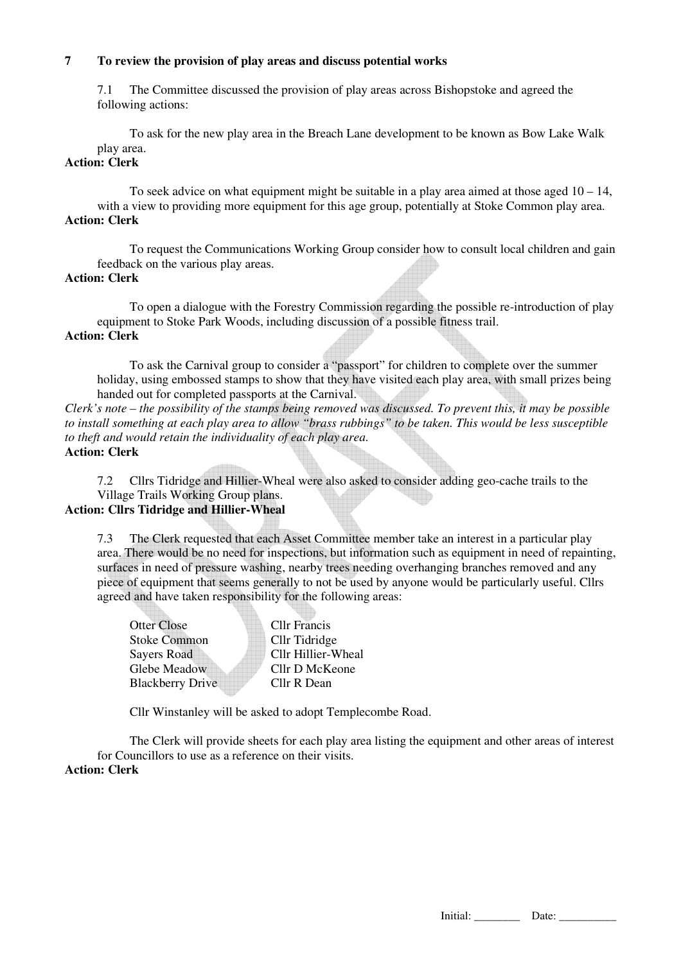## **7 To review the provision of play areas and discuss potential works**

 7.1 The Committee discussed the provision of play areas across Bishopstoke and agreed the following actions:

 To ask for the new play area in the Breach Lane development to be known as Bow Lake Walk play area.

## **Action: Clerk**

To seek advice on what equipment might be suitable in a play area aimed at those aged 10 – 14, with a view to providing more equipment for this age group, potentially at Stoke Common play area. **Action: Clerk** 

 To request the Communications Working Group consider how to consult local children and gain feedback on the various play areas.

### **Action: Clerk**

 To open a dialogue with the Forestry Commission regarding the possible re-introduction of play equipment to Stoke Park Woods, including discussion of a possible fitness trail. **Action: Clerk** 

 To ask the Carnival group to consider a "passport" for children to complete over the summer holiday, using embossed stamps to show that they have visited each play area, with small prizes being handed out for completed passports at the Carnival.

*Clerk's note – the possibility of the stamps being removed was discussed. To prevent this, it may be possible to install something at each play area to allow "brass rubbings" to be taken. This would be less susceptible to theft and would retain the individuality of each play area.* 

**Action: Clerk** 

 7.2 Cllrs Tidridge and Hillier-Wheal were also asked to consider adding geo-cache trails to the Village Trails Working Group plans.

## **Action: Cllrs Tidridge and Hillier-Wheal**

 7.3 The Clerk requested that each Asset Committee member take an interest in a particular play area. There would be no need for inspections, but information such as equipment in need of repainting, surfaces in need of pressure washing, nearby trees needing overhanging branches removed and any piece of equipment that seems generally to not be used by anyone would be particularly useful. Cllrs agreed and have taken responsibility for the following areas:

Otter Close Cllr Francis Stoke Common Cllr Tidridge Savers Road Cllr Hillier-Wheal Glebe Meadow Cllr D McKeone Blackberry Drive Cllr R Dean

Cllr Winstanley will be asked to adopt Templecombe Road.

 The Clerk will provide sheets for each play area listing the equipment and other areas of interest for Councillors to use as a reference on their visits. **Action: Clerk**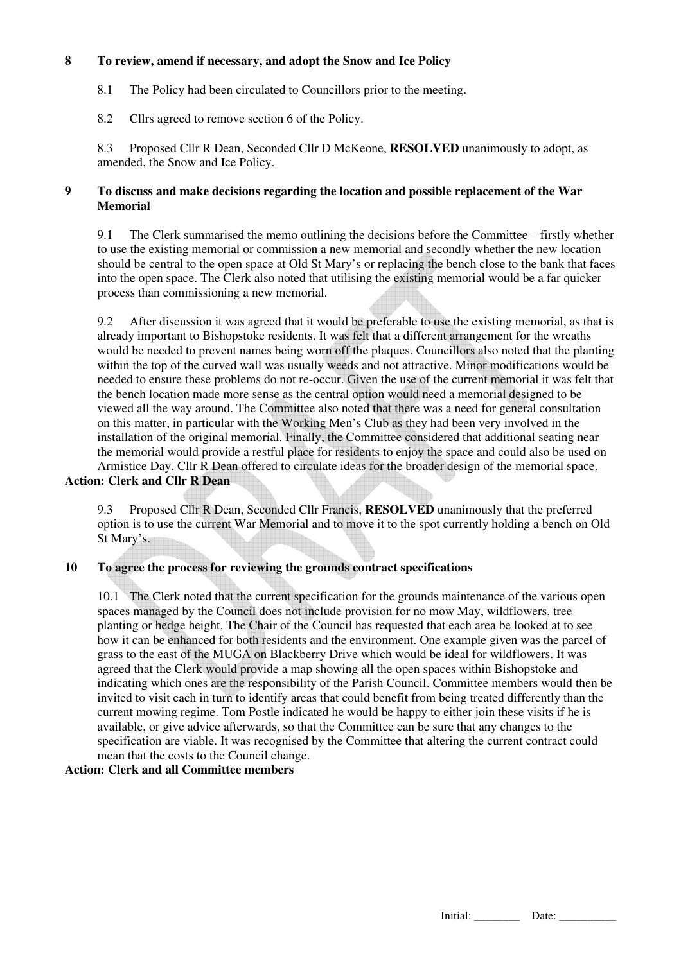## **8 To review, amend if necessary, and adopt the Snow and Ice Policy**

8.1 The Policy had been circulated to Councillors prior to the meeting.

8.2 Cllrs agreed to remove section 6 of the Policy.

 8.3 Proposed Cllr R Dean, Seconded Cllr D McKeone, **RESOLVED** unanimously to adopt, as amended, the Snow and Ice Policy.

## **9 To discuss and make decisions regarding the location and possible replacement of the War Memorial**

 9.1 The Clerk summarised the memo outlining the decisions before the Committee – firstly whether to use the existing memorial or commission a new memorial and secondly whether the new location should be central to the open space at Old St Mary's or replacing the bench close to the bank that faces into the open space. The Clerk also noted that utilising the existing memorial would be a far quicker process than commissioning a new memorial.

 9.2 After discussion it was agreed that it would be preferable to use the existing memorial, as that is already important to Bishopstoke residents. It was felt that a different arrangement for the wreaths would be needed to prevent names being worn off the plaques. Councillors also noted that the planting within the top of the curved wall was usually weeds and not attractive. Minor modifications would be needed to ensure these problems do not re-occur. Given the use of the current memorial it was felt that the bench location made more sense as the central option would need a memorial designed to be viewed all the way around. The Committee also noted that there was a need for general consultation on this matter, in particular with the Working Men's Club as they had been very involved in the installation of the original memorial. Finally, the Committee considered that additional seating near the memorial would provide a restful place for residents to enjoy the space and could also be used on Armistice Day. Cllr R Dean offered to circulate ideas for the broader design of the memorial space.

### **Action: Clerk and Cllr R Dean**

 9.3 Proposed Cllr R Dean, Seconded Cllr Francis, **RESOLVED** unanimously that the preferred option is to use the current War Memorial and to move it to the spot currently holding a bench on Old St Mary's.

### **10 To agree the process for reviewing the grounds contract specifications**

10.1 The Clerk noted that the current specification for the grounds maintenance of the various open spaces managed by the Council does not include provision for no mow May, wildflowers, tree planting or hedge height. The Chair of the Council has requested that each area be looked at to see how it can be enhanced for both residents and the environment. One example given was the parcel of grass to the east of the MUGA on Blackberry Drive which would be ideal for wildflowers. It was agreed that the Clerk would provide a map showing all the open spaces within Bishopstoke and indicating which ones are the responsibility of the Parish Council. Committee members would then be invited to visit each in turn to identify areas that could benefit from being treated differently than the current mowing regime. Tom Postle indicated he would be happy to either join these visits if he is available, or give advice afterwards, so that the Committee can be sure that any changes to the specification are viable. It was recognised by the Committee that altering the current contract could mean that the costs to the Council change.

## **Action: Clerk and all Committee members**